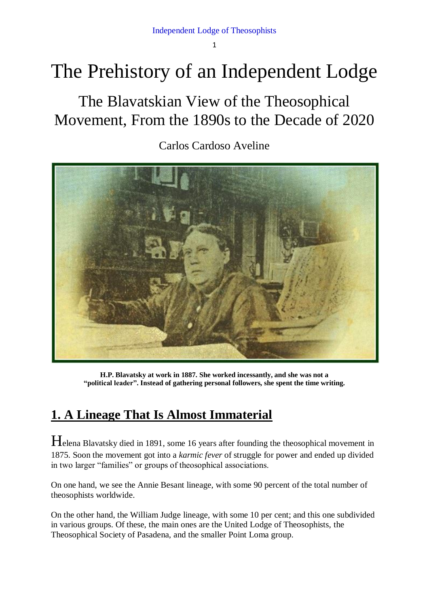Independent Lodge of Theosophists

1

# The Prehistory of an Independent Lodge

The Blavatskian View of the Theosophical Movement, From the 1890s to the Decade of 2020

Carlos Cardoso Aveline



**H.P. Blavatsky at work in 1887. She worked incessantly, and she was not a "political leader". Instead of gathering personal followers, she spent the time writing.**

## **1. A Lineage That Is Almost Immaterial**

Helena Blavatsky died in 1891, some 16 years after founding the theosophical movement in 1875. Soon the movement got into a *karmic fever* of struggle for power and ended up divided in two larger "families" or groups of theosophical associations.

On one hand, we see the Annie Besant lineage, with some 90 percent of the total number of theosophists worldwide.

On the other hand, the William Judge lineage, with some 10 per cent; and this one subdivided in various groups. Of these, the main ones are the United Lodge of Theosophists, the Theosophical Society of Pasadena, and the smaller Point Loma group.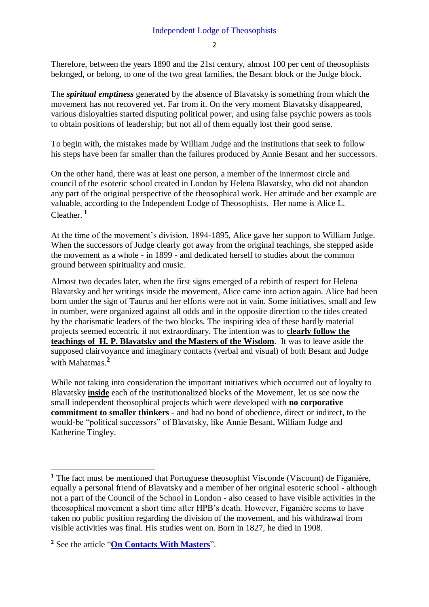$\overline{2}$ 

Therefore, between the years 1890 and the 21st century, almost 100 per cent of theosophists belonged, or belong, to one of the two great families, the Besant block or the Judge block.

The *spiritual emptiness* generated by the absence of Blavatsky is something from which the movement has not recovered yet. Far from it. On the very moment Blavatsky disappeared, various disloyalties started disputing political power, and using false psychic powers as tools to obtain positions of leadership; but not all of them equally lost their good sense.

To begin with, the mistakes made by William Judge and the institutions that seek to follow his steps have been far smaller than the failures produced by Annie Besant and her successors.

On the other hand, there was at least one person, a member of the innermost circle and council of the esoteric school created in London by Helena Blavatsky, who did not abandon any part of the original perspective of the theosophical work. Her attitude and her example are valuable, according to the Independent Lodge of Theosophists. Her name is Alice L. Cleather. **<sup>1</sup>**

At the time of the movement's division, 1894-1895, Alice gave her support to William Judge. When the successors of Judge clearly got away from the original teachings, she stepped aside the movement as a whole - in 1899 - and dedicated herself to studies about the common ground between spirituality and music.

Almost two decades later, when the first signs emerged of a rebirth of respect for Helena Blavatsky and her writings inside the movement, Alice came into action again. Alice had been born under the sign of Taurus and her efforts were not in vain. Some initiatives, small and few in number, were organized against all odds and in the opposite direction to the tides created by the charismatic leaders of the two blocks. The inspiring idea of these hardly material projects seemed eccentric if not extraordinary. The intention was to **clearly follow the teachings of H. P. Blavatsky and the Masters of the Wisdom**. It was to leave aside the supposed clairvoyance and imaginary contacts (verbal and visual) of both Besant and Judge with Mahatmas.**<sup>2</sup>**

While not taking into consideration the important initiatives which occurred out of loyalty to Blavatsky **inside** each of the institutionalized blocks of the Movement, let us see now the small independent theosophical projects which were developed with **no corporative commitment to smaller thinkers** - and had no bond of obedience, direct or indirect, to the would-be "political successors" of Blavatsky, like Annie Besant, William Judge and Katherine Tingley.

**.** 

**<sup>1</sup>** The fact must be mentioned that Portuguese theosophist Visconde (Viscount) de Figanière, equally a personal friend of Blavatsky and a member of her original esoteric school - although not a part of the Council of the School in London - also ceased to have visible activities in the theosophical movement a short time after HPB's death. However, Figanière seems to have taken no public position regarding the division of the movement, and his withdrawal from visible activities was final. His studies went on. Born in 1827, he died in 1908.

**<sup>2</sup>** See the article "**[On Contacts With Masters](https://www.carloscardosoaveline.com/on-contacts-with-masters/)**".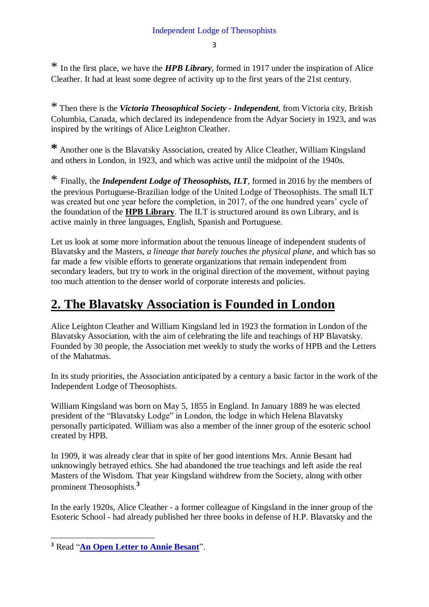\* In the first place, we have the *HPB Library*, formed in 1917 under the inspiration of Alice Cleather. It had at least some degree of activity up to the first years of the 21st century.

\* Then there is the *Victoria Theosophical Society - Independent*, from Victoria city, British Columbia, Canada, which declared its independence from the Adyar Society in 1923, and was inspired by the writings of Alice Leighton Cleather.

**\*** Another one is the Blavatsky Association, created by Alice Cleather, William Kingsland and others in London, in 1923, and which was active until the midpoint of the 1940s.

\* Finally, the *Independent Lodge of Theosophists, ILT*, formed in 2016 by the members of the previous Portuguese-Brazilian lodge of the United Lodge of Theosophists. The small ILT was created but one year before the completion, in 2017, of the one hundred years' cycle of the foundation of the **HPB Library**. The ILT is structured around its own Library, and is active mainly in three languages, English, Spanish and Portuguese.

Let us look at some more information about the tenuous lineage of independent students of Blavatsky and the Masters, *a lineage that barely touches the physical plane*, and which has so far made a few visible efforts to generate organizations that remain independent from secondary leaders, but try to work in the original direction of the movement, without paying too much attention to the denser world of corporate interests and policies.

### **2. The Blavatsky Association is Founded in London**

Alice Leighton Cleather and William Kingsland led in 1923 the formation in London of the Blavatsky Association, with the aim of celebrating the life and teachings of HP Blavatsky. Founded by 30 people, the Association met weekly to study the works of HPB and the Letters of the Mahatmas.

In its study priorities, the Association anticipated by a century a basic factor in the work of the Independent Lodge of Theosophists.

William Kingsland was born on May 5, 1855 in England. In January 1889 he was elected president of the "Blavatsky Lodge" in London, the lodge in which Helena Blavatsky personally participated. William was also a member of the inner group of the esoteric school created by HPB.

In 1909, it was already clear that in spite of her good intentions Mrs. Annie Besant had unknowingly betrayed ethics. She had abandoned the true teachings and left aside the real Masters of the Wisdom. That year Kingsland withdrew from the Society, along with other prominent Theosophists.**<sup>3</sup>**

In the early 1920s, Alice Cleather - a former colleague of Kingsland in the inner group of the Esoteric School - had already published her three books in defense of H.P. Blavatsky and the

**<sup>.</sup> <sup>3</sup>** Read "**[An Open Letter to Annie Besant](https://www.carloscardosoaveline.com/an-open-letter-to-annie-besant/)**".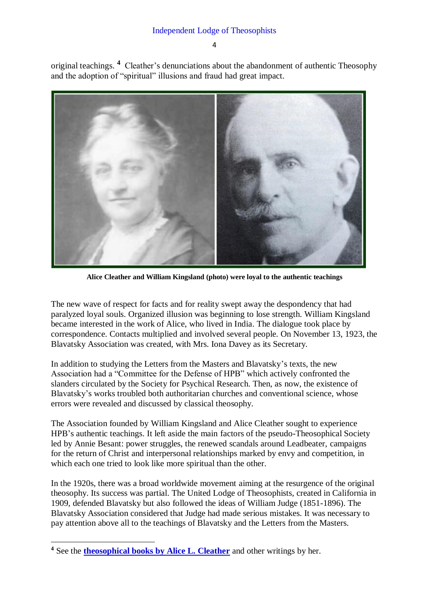original teachings. **<sup>4</sup>** Cleather's denunciations about the abandonment of authentic Theosophy and the adoption of "spiritual" illusions and fraud had great impact.



**Alice Cleather and William Kingsland (photo) were loyal to the authentic teachings** 

The new wave of respect for facts and for reality swept away the despondency that had paralyzed loyal souls. Organized illusion was beginning to lose strength. William Kingsland became interested in the work of Alice, who lived in India. The dialogue took place by correspondence. Contacts multiplied and involved several people. On November 13, 1923, the Blavatsky Association was created, with Mrs. Iona Davey as its Secretary.

In addition to studying the Letters from the Masters and Blavatsky's texts, the new Association had a "Committee for the Defense of HPB" which actively confronted the slanders circulated by the Society for Psychical Research. Then, as now, the existence of Blavatsky's works troubled both authoritarian churches and conventional science, whose errors were revealed and discussed by classical theosophy.

The Association founded by William Kingsland and Alice Cleather sought to experience HPB's authentic teachings. It left aside the main factors of the pseudo-Theosophical Society led by Annie Besant: power struggles, the renewed scandals around Leadbeater, campaigns for the return of Christ and interpersonal relationships marked by envy and competition, in which each one tried to look like more spiritual than the other.

In the 1920s, there was a broad worldwide movement aiming at the resurgence of the original theosophy. Its success was partial. The United Lodge of Theosophists, created in California in 1909, defended Blavatsky but also followed the ideas of William Judge (1851-1896). The Blavatsky Association considered that Judge had made serious mistakes. It was necessary to pay attention above all to the teachings of Blavatsky and the Letters from the Masters.

1

<sup>&</sup>lt;sup>4</sup> See the **[theosophical books by Alice L. Cleather](https://www.carloscardosoaveline.com/autor/alice-leighton-cleather/)** and other writings by her.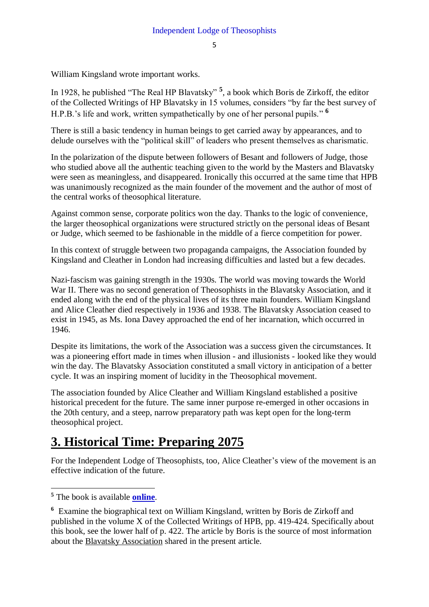William Kingsland wrote important works.

In 1928, he published "The Real HP Blavatsky" **<sup>5</sup>** , a book which Boris de Zirkoff, the editor of the Collected Writings of HP Blavatsky in 15 volumes, considers "by far the best survey of H.P.B.'s life and work, written sympathetically by one of her personal pupils." **<sup>6</sup>**

There is still a basic tendency in human beings to get carried away by appearances, and to delude ourselves with the "political skill" of leaders who present themselves as charismatic.

In the polarization of the dispute between followers of Besant and followers of Judge, those who studied above all the authentic teaching given to the world by the Masters and Blavatsky were seen as meaningless, and disappeared. Ironically this occurred at the same time that HPB was unanimously recognized as the main founder of the movement and the author of most of the central works of theosophical literature.

Against common sense, corporate politics won the day. Thanks to the logic of convenience, the larger theosophical organizations were structured strictly on the personal ideas of Besant or Judge, which seemed to be fashionable in the middle of a fierce competition for power.

In this context of struggle between two propaganda campaigns, the Association founded by Kingsland and Cleather in London had increasing difficulties and lasted but a few decades.

Nazi-fascism was gaining strength in the 1930s. The world was moving towards the World War II. There was no second generation of Theosophists in the Blavatsky Association, and it ended along with the end of the physical lives of its three main founders. William Kingsland and Alice Cleather died respectively in 1936 and 1938. The Blavatsky Association ceased to exist in 1945, as Ms. Iona Davey approached the end of her incarnation, which occurred in 1946.

Despite its limitations, the work of the Association was a success given the circumstances. It was a pioneering effort made in times when illusion - and illusionists - looked like they would win the day. The Blavatsky Association constituted a small victory in anticipation of a better cycle. It was an inspiring moment of lucidity in the Theosophical movement.

The association founded by Alice Cleather and William Kingsland established a positive historical precedent for the future. The same inner purpose re-emerged in other occasions in the 20th century, and a steep, narrow preparatory path was kept open for the long-term theosophical project.

### **3. Historical Time: Preparing 2075**

For the Independent Lodge of Theosophists, too, Alice Cleather's view of the movement is an effective indication of the future.

1

**<sup>5</sup>** The book is available **[online](https://www.carloscardosoaveline.com/the-real-h-p-blavatsky/)**.

**<sup>6</sup>** Examine the biographical text on William Kingsland, written by Boris de Zirkoff and published in the volume X of the Collected Writings of HPB, pp. 419-424. Specifically about this book, see the lower half of p. 422. The article by Boris is the source of most information about the Blavatsky Association shared in the present article.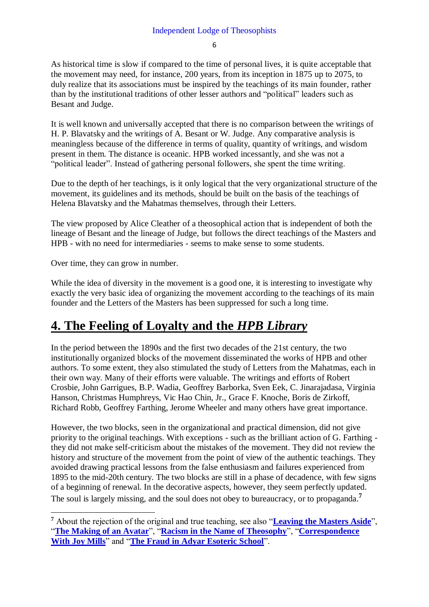As historical time is slow if compared to the time of personal lives, it is quite acceptable that the movement may need, for instance, 200 years, from its inception in 1875 up to 2075, to duly realize that its associations must be inspired by the teachings of its main founder, rather than by the institutional traditions of other lesser authors and "political" leaders such as Besant and Judge.

It is well known and universally accepted that there is no comparison between the writings of H. P. Blavatsky and the writings of A. Besant or W. Judge. Any comparative analysis is meaningless because of the difference in terms of quality, quantity of writings, and wisdom present in them. The distance is oceanic. HPB worked incessantly, and she was not a "political leader". Instead of gathering personal followers, she spent the time writing.

Due to the depth of her teachings, is it only logical that the very organizational structure of the movement, its guidelines and its methods, should be built on the basis of the teachings of Helena Blavatsky and the Mahatmas themselves, through their Letters.

The view proposed by Alice Cleather of a theosophical action that is independent of both the lineage of Besant and the lineage of Judge, but follows the direct teachings of the Masters and HPB - with no need for intermediaries - seems to make sense to some students.

Over time, they can grow in number.

1

While the idea of diversity in the movement is a good one, it is interesting to investigate why exactly the very basic idea of organizing the movement according to the teachings of its main founder and the Letters of the Masters has been suppressed for such a long time.

#### **4. The Feeling of Loyalty and the** *HPB Library*

In the period between the 1890s and the first two decades of the 21st century, the two institutionally organized blocks of the movement disseminated the works of HPB and other authors. To some extent, they also stimulated the study of Letters from the Mahatmas, each in their own way. Many of their efforts were valuable. The writings and efforts of Robert Crosbie, John Garrigues, B.P. Wadia, Geoffrey Barborka, Sven Eek, C. Jinarajadasa, Virginia Hanson, Christmas Humphreys, Vic Hao Chin, Jr., Grace F. Knoche, Boris de Zirkoff, Richard Robb, Geoffrey Farthing, Jerome Wheeler and many others have great importance.

However, the two blocks, seen in the organizational and practical dimension, did not give priority to the original teachings. With exceptions - such as the brilliant action of G. Farthing they did not make self-criticism about the mistakes of the movement. They did not review the history and structure of the movement from the point of view of the authentic teachings. They avoided drawing practical lessons from the false enthusiasm and failures experienced from 1895 to the mid-20th century. The two blocks are still in a phase of decadence, with few signs of a beginning of renewal. In the decorative aspects, however, they seem perfectly updated. The soul is largely missing, and the soul does not obey to bureaucracy, or to propaganda. **7**

**<sup>7</sup>** About the rejection of the original and true teaching, see also "**[Leaving the Masters Aside](https://www.carloscardosoaveline.com/leaving-the-masters-aside/)**", "**[The Making of an Avatar](https://www.carloscardosoaveline.com/the-making-of-an-avatar/)**", "**[Racism in the Name of Theosophy](https://www.carloscardosoaveline.com/racism-in-the-name-of-theosophy/)**", "**[Correspondence](https://www.carloscardosoaveline.com/correspondence-with-joy-mills/)  [With Joy Mills](https://www.carloscardosoaveline.com/correspondence-with-joy-mills/)**" and "**[The Fraud in Adyar Esoteric School](https://www.carloscardosoaveline.com/the-fraud-in-adyar-esoteric-school/)**".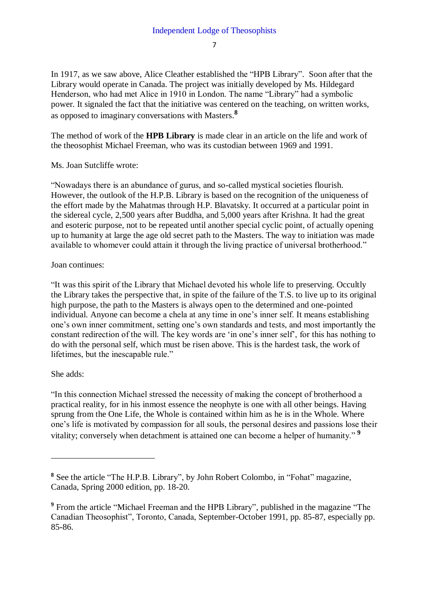In 1917, as we saw above, Alice Cleather established the "HPB Library". Soon after that the Library would operate in Canada. The project was initially developed by Ms. Hildegard Henderson, who had met Alice in 1910 in London. The name "Library" had a symbolic power. It signaled the fact that the initiative was centered on the teaching, on written works, as opposed to imaginary conversations with Masters. **8**

The method of work of the **HPB Library** is made clear in an article on the life and work of the theosophist Michael Freeman, who was its custodian between 1969 and 1991.

Ms. Joan Sutcliffe wrote:

"Nowadays there is an abundance of gurus, and so-called mystical societies flourish. However, the outlook of the H.P.B. Library is based on the recognition of the uniqueness of the effort made by the Mahatmas through H.P. Blavatsky. It occurred at a particular point in the sidereal cycle, 2,500 years after Buddha, and 5,000 years after Krishna. It had the great and esoteric purpose, not to be repeated until another special cyclic point, of actually opening up to humanity at large the age old secret path to the Masters. The way to initiation was made available to whomever could attain it through the living practice of universal brotherhood."

#### Joan continues:

"It was this spirit of the Library that Michael devoted his whole life to preserving. Occultly the Library takes the perspective that, in spite of the failure of the T.S. to live up to its original high purpose, the path to the Masters is always open to the determined and one-pointed individual. Anyone can become a chela at any time in one's inner self. It means establishing one's own inner commitment, setting one's own standards and tests, and most importantly the constant redirection of the will. The key words are 'in one's inner self', for this has nothing to do with the personal self, which must be risen above. This is the hardest task, the work of lifetimes, but the inescapable rule."

#### She adds:

1

"In this connection Michael stressed the necessity of making the concept of brotherhood a practical reality, for in his inmost essence the neophyte is one with all other beings. Having sprung from the One Life, the Whole is contained within him as he is in the Whole. Where one's life is motivated by compassion for all souls, the personal desires and passions lose their vitality; conversely when detachment is attained one can become a helper of humanity." **<sup>9</sup>**

**<sup>8</sup>** See the article "The H.P.B. Library", by John Robert Colombo, in "Fohat" magazine, Canada, Spring 2000 edition, pp. 18-20.

**<sup>9</sup>** From the article "Michael Freeman and the HPB Library", published in the magazine "The Canadian Theosophist", Toronto, Canada, September-October 1991, pp. 85-87, especially pp. 85-86.